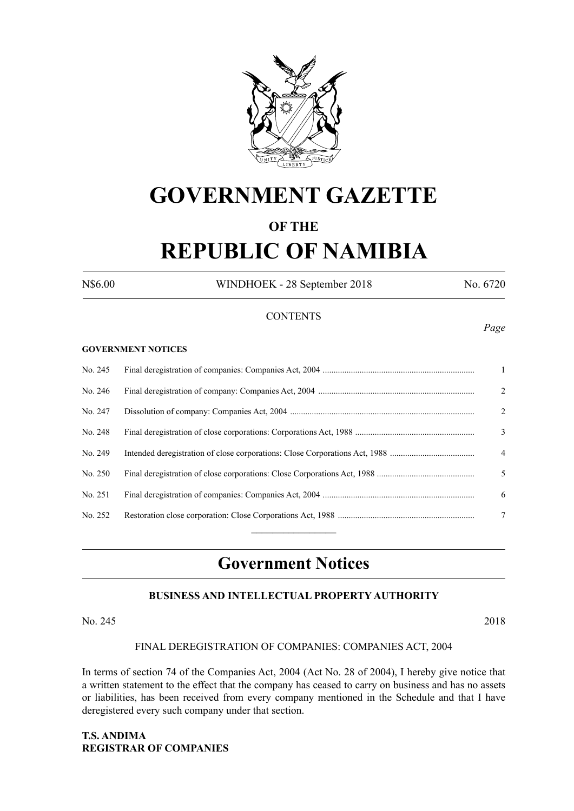

# **GOVERNMENT GAZETTE**

# **OF THE**

# **REPUBLIC OF NAMIBIA**

N\$6.00 WINDHOEK - 28 September 2018 No. 6720

*Page*

### **CONTENTS**

#### **GOVERNMENT NOTICES**

| No. 245 | -1             |
|---------|----------------|
| No. 246 | 2              |
| No. 247 | 2              |
| No. 248 | 3              |
| No. 249 | $\overline{4}$ |
| No. 250 | 5              |
| No. 251 | 6              |
| No. 252 | 7              |
|         |                |

# **Government Notices**

# **BUSINESS AND INTELLECTUAL PROPERTY AUTHORITY**

#### No. 245 2018

#### FINAL DEREGISTRATION OF COMPANIES: COMPANIES ACT, 2004

In terms of section 74 of the Companies Act, 2004 (Act No. 28 of 2004), I hereby give notice that a written statement to the effect that the company has ceased to carry on business and has no assets or liabilities, has been received from every company mentioned in the Schedule and that I have deregistered every such company under that section.

**T.S. ANDIMA REGISTRAR OF COMPANIES**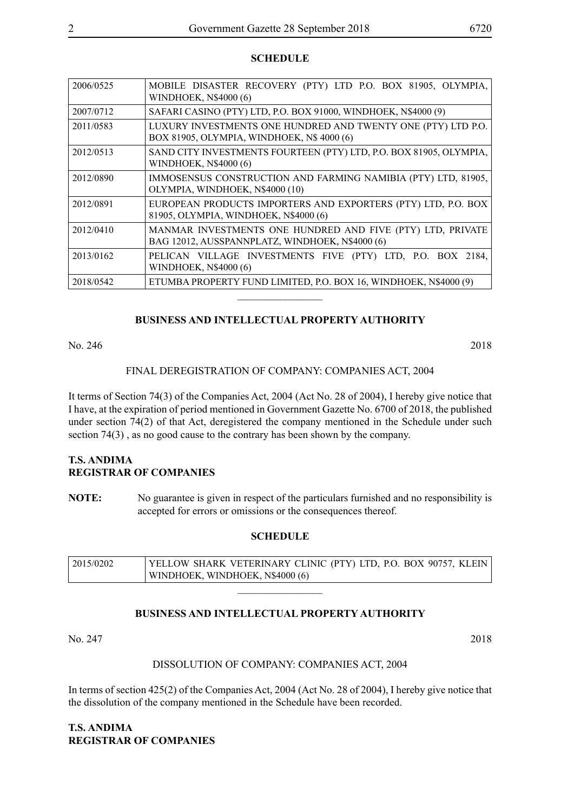#### **SCHEDULE**

| 2006/0525 | MOBILE DISASTER RECOVERY (PTY) LTD P.O. BOX 81905, OLYMPIA,<br><b>WINDHOEK, N\$4000 (6)</b>                   |
|-----------|---------------------------------------------------------------------------------------------------------------|
| 2007/0712 | SAFARI CASINO (PTY) LTD, P.O. BOX 91000, WINDHOEK, N\$4000 (9)                                                |
| 2011/0583 | LUXURY INVESTMENTS ONE HUNDRED AND TWENTY ONE (PTY) LTD P.O.<br>BOX 81905, OLYMPIA, WINDHOEK, N\$ 4000 (6)    |
| 2012/0513 | SAND CITY INVESTMENTS FOURTEEN (PTY) LTD, P.O. BOX 81905, OLYMPIA,<br><b>WINDHOEK, N\$4000 (6)</b>            |
| 2012/0890 | IMMOSENSUS CONSTRUCTION AND FARMING NAMIBIA (PTY) LTD, 81905,<br>OLYMPIA, WINDHOEK, N\$4000 (10)              |
| 2012/0891 | EUROPEAN PRODUCTS IMPORTERS AND EXPORTERS (PTY) LTD, P.O. BOX<br>81905, OLYMPIA, WINDHOEK, N\$4000 (6)        |
| 2012/0410 | MANMAR INVESTMENTS ONE HUNDRED AND FIVE (PTY) LTD, PRIVATE<br>BAG 12012, AUSSPANNPLATZ, WINDHOEK, N\$4000 (6) |
| 2013/0162 | PELICAN VILLAGE INVESTMENTS FIVE (PTY) LTD, P.O. BOX 2184,<br><b>WINDHOEK, N\$4000 (6)</b>                    |
| 2018/0542 | ETUMBA PROPERTY FUND LIMITED, P.O. BOX 16, WINDHOEK, N\$4000 (9)                                              |
|           |                                                                                                               |

#### **BUSINESS AND INTELLECTUAL PROPERTY AUTHORITY**

No. 246 2018

#### FINAL DEREGISTRATION OF COMPANY: COMPANIES ACT, 2004

It terms of Section 74(3) of the Companies Act, 2004 (Act No. 28 of 2004), I hereby give notice that I have, at the expiration of period mentioned in Government Gazette No. 6700 of 2018, the published under section 74(2) of that Act, deregistered the company mentioned in the Schedule under such section 74(3) , as no good cause to the contrary has been shown by the company.

# **T.S. ANDIMA REGISTRAR OF COMPANIES**

**NOTE:** No guarantee is given in respect of the particulars furnished and no responsibility is accepted for errors or omissions or the consequences thereof.

#### **SCHEDULE**

| 12015/0202 | YELLOW SHARK VETERINARY CLINIC (PTY) LTD, P.O. BOX 90757, KLEIN |
|------------|-----------------------------------------------------------------|
|            | WINDHOEK, WINDHOEK, N\$4000 (6)                                 |

 $\overline{\phantom{a}}$  , where  $\overline{\phantom{a}}$ 

#### **BUSINESS AND INTELLECTUAL PROPERTY AUTHORITY**

No. 247 2018

#### DISSOLUTION OF COMPANY: COMPANIES ACT, 2004

In terms of section 425(2) of the Companies Act, 2004 (Act No. 28 of 2004), I hereby give notice that the dissolution of the company mentioned in the Schedule have been recorded.

**T.S. ANDIMA REGISTRAR OF COMPANIES**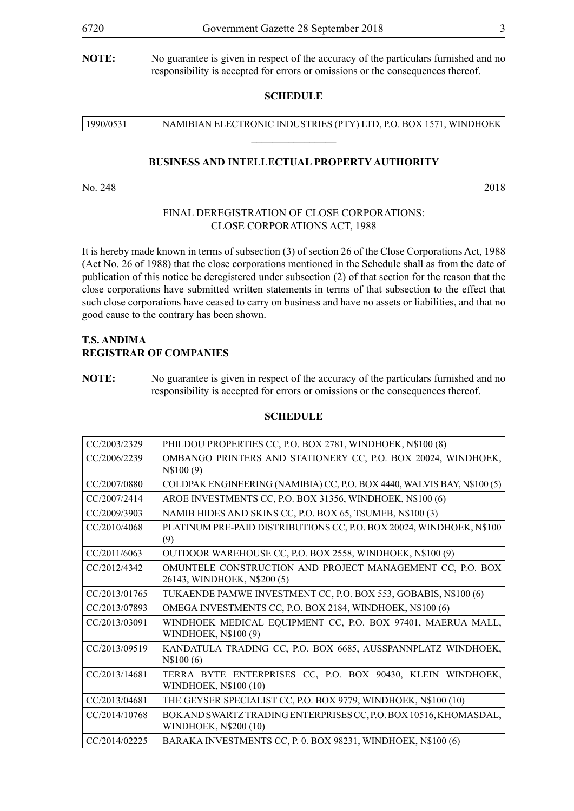#### **SCHEDULE**

| 1990/0531 | NAMIBIAN ELECTRONIC INDUSTRIES (PTY) LTD, P.O. BOX 1571, WINDHOEK |
|-----------|-------------------------------------------------------------------|
|           |                                                                   |

#### **BUSINESS AND INTELLECTUAL PROPERTY AUTHORITY**

No. 248 2018

#### FINAL DEREGISTRATION OF CLOSE CORPORATIONS: CLOSE CORPORATIONS ACT, 1988

It is hereby made known in terms of subsection (3) of section 26 of the Close Corporations Act, 1988 (Act No. 26 of 1988) that the close corporations mentioned in the Schedule shall as from the date of publication of this notice be deregistered under subsection (2) of that section for the reason that the close corporations have submitted written statements in terms of that subsection to the effect that such close corporations have ceased to carry on business and have no assets or liabilities, and that no good cause to the contrary has been shown.

#### **T.S. ANDIMA REGISTRAR OF COMPANIES**

#### **SCHEDULE**

| CC/2003/2329  | PHILDOU PROPERTIES CC, P.O. BOX 2781, WINDHOEK, N\$100 (8)                                        |
|---------------|---------------------------------------------------------------------------------------------------|
| CC/2006/2239  | OMBANGO PRINTERS AND STATIONERY CC, P.O. BOX 20024, WINDHOEK,<br>N\$100(9)                        |
| CC/2007/0880  | COLDPAK ENGINEERING (NAMIBIA) CC, P.O. BOX 4440, WALVIS BAY, N\$100 (5)                           |
| CC/2007/2414  | AROE INVESTMENTS CC, P.O. BOX 31356, WINDHOEK, N\$100 (6)                                         |
| CC/2009/3903  | NAMIB HIDES AND SKINS CC, P.O. BOX 65, TSUMEB, N\$100 (3)                                         |
| CC/2010/4068  | PLATINUM PRE-PAID DISTRIBUTIONS CC, P.O. BOX 20024, WINDHOEK, N\$100<br>(9)                       |
| CC/2011/6063  | OUTDOOR WAREHOUSE CC, P.O. BOX 2558, WINDHOEK, N\$100 (9)                                         |
| CC/2012/4342  | OMUNTELE CONSTRUCTION AND PROJECT MANAGEMENT CC, P.O. BOX                                         |
|               | 26143, WINDHOEK, N\$200 (5)                                                                       |
| CC/2013/01765 | TUKAENDE PAMWE INVESTMENT CC, P.O. BOX 553, GOBABIS, N\$100 (6)                                   |
| CC/2013/07893 | OMEGA INVESTMENTS CC, P.O. BOX 2184, WINDHOEK, N\$100 (6)                                         |
| CC/2013/03091 | WINDHOEK MEDICAL EQUIPMENT CC, P.O. BOX 97401, MAERUA MALL,<br><b>WINDHOEK, N\$100 (9)</b>        |
| CC/2013/09519 | KANDATULA TRADING CC, P.O. BOX 6685, AUSSPANNPLATZ WINDHOEK,<br>N\\$100(6)                        |
| CC/2013/14681 | TERRA BYTE ENTERPRISES CC, P.O. BOX 90430, KLEIN WINDHOEK,<br><b>WINDHOEK, N\$100 (10)</b>        |
| CC/2013/04681 | THE GEYSER SPECIALIST CC, P.O. BOX 9779, WINDHOEK, N\$100 (10)                                    |
| CC/2014/10768 | BOK AND SWARTZ TRADING ENTERPRISES CC, P.O. BOX 10516, KHOMASDAL,<br><b>WINDHOEK, N\$200 (10)</b> |
| CC/2014/02225 | BARAKA INVESTMENTS CC, P. 0. BOX 98231, WINDHOEK, N\$100 (6)                                      |

**NOTE:** No guarantee is given in respect of the accuracy of the particulars furnished and no responsibility is accepted for errors or omissions or the consequences thereof.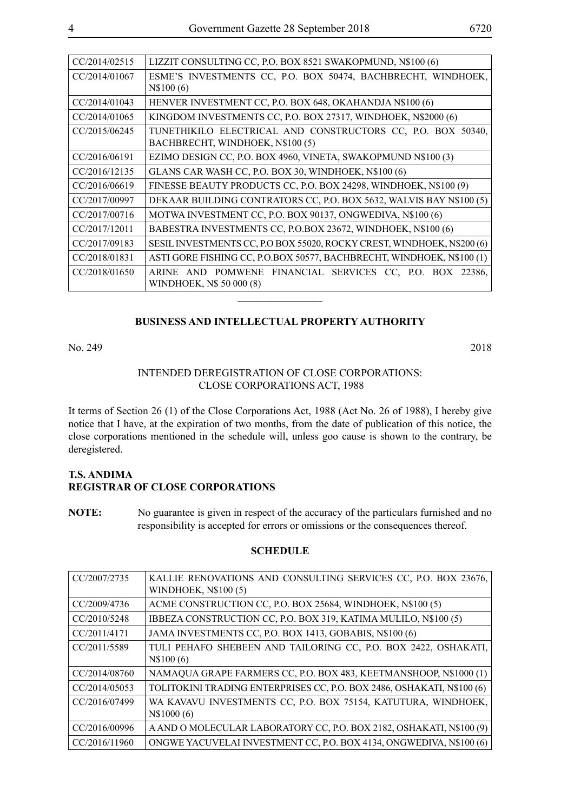| CC/2014/02515 | LIZZIT CONSULTING CC, P.O. BOX 8521 SWAKOPMUND, N\$100 (6)             |
|---------------|------------------------------------------------------------------------|
| CC/2014/01067 | ESME'S INVESTMENTS CC, P.O. BOX 50474, BACHBRECHT, WINDHOEK,           |
|               | N\$100(6)                                                              |
| CC/2014/01043 | HENVER INVESTMENT CC, P.O. BOX 648, OKAHANDJA N\$100 (6)               |
| CC/2014/01065 | KINGDOM INVESTMENTS CC, P.O. BOX 27317, WINDHOEK, N\$2000 (6)          |
| CC/2015/06245 | TUNETHIKILO ELECTRICAL AND CONSTRUCTORS CC, P.O. BOX 50340,            |
|               | BACHBRECHT, WINDHOEK, N\$100(5)                                        |
| CC/2016/06191 | EZIMO DESIGN CC, P.O. BOX 4960, VINETA, SWAKOPMUND N\$100 (3)          |
| CC/2016/12135 | GLANS CAR WASH CC, P.O. BOX 30, WINDHOEK, N\$100 (6)                   |
| CC/2016/06619 | FINESSE BEAUTY PRODUCTS CC, P.O. BOX 24298, WINDHOEK, N\$100 (9)       |
| CC/2017/00997 | DEKAAR BUILDING CONTRATORS CC, P.O. BOX 5632, WALVIS BAY N\$100 (5)    |
| CC/2017/00716 | MOTWA INVESTMENT CC, P.O. BOX 90137, ONGWEDIVA, N\$100 (6)             |
| CC/2017/12011 | BABESTRA INVESTMENTS CC, P.O.BOX 23672, WINDHOEK, N\$100 (6)           |
| CC/2017/09183 | SESIL INVESTMENTS CC, P.O BOX 55020, ROCKY CREST, WINDHOEK, N\$200 (6) |
| CC/2018/01831 | ASTI GORE FISHING CC, P.O.BOX 50577, BACHBRECHT, WINDHOEK, N\$100 (1)  |
| CC/2018/01650 | ARINE AND POMWENE FINANCIAL SERVICES CC, P.O. BOX 22386,               |
|               | WINDHOEK, N\$ 50 000 (8)                                               |
|               |                                                                        |

#### **BUSINESS AND INTELLECTUAL PROPERTY AUTHORITY**

No. 249 2018

#### INTENDED DEREGISTRATION OF CLOSE CORPORATIONS: CLOSE CORPORATIONS ACT, 1988

It terms of Section 26 (1) of the Close Corporations Act, 1988 (Act No. 26 of 1988), I hereby give notice that I have, at the expiration of two months, from the date of publication of this notice, the close corporations mentioned in the schedule will, unless goo cause is shown to the contrary, be deregistered.

### **T.S. ANDIMA REGISTRAR OF CLOSE CORPORATIONS**

**NOTE:** No guarantee is given in respect of the accuracy of the particulars furnished and no responsibility is accepted for errors or omissions or the consequences thereof.

#### **SCHEDULE**

| CC/2007/2735  | KALLIE RENOVATIONS AND CONSULTING SERVICES CC, P.O. BOX 23676,<br>WINDHOEK, N\$100 (5) |
|---------------|----------------------------------------------------------------------------------------|
| CC/2009/4736  | ACME CONSTRUCTION CC, P.O. BOX 25684, WINDHOEK, N\$100 (5)                             |
| CC/2010/5248  | IBBEZA CONSTRUCTION CC, P.O. BOX 319, KATIMA MULILO, N\$100 (5)                        |
| CC/2011/4171  | JAMA INVESTMENTS CC, P.O. BOX 1413, GOBABIS, N\$100 (6)                                |
| CC/2011/5589  | TULI PEHAFO SHEBEEN AND TAILORING CC, P.O. BOX 2422, OSHAKATI,<br>N\\$100(6)           |
| CC/2014/08760 | NAMAQUA GRAPE FARMERS CC, P.O. BOX 483, KEETMANSHOOP, N\$1000 (1)                      |
| CC/2014/05053 | TOLITOKINI TRADING ENTERPRISES CC, P.O. BOX 2486, OSHAKATI, N\$100 (6)                 |
| CC/2016/07499 | WA KAVAVU INVESTMENTS CC, P.O. BOX 75154, KATUTURA, WINDHOEK,<br>N\$1000 (6)           |
| CC/2016/00996 | A AND O MOLECULAR LABORATORY CC, P.O. BOX 2182, OSHAKATI, N\$100 (9)                   |
| CC/2016/11960 | ONGWE YACUVELAI INVESTMENT CC, P.O. BOX 4134, ONGWEDIVA, N\$100 (6)                    |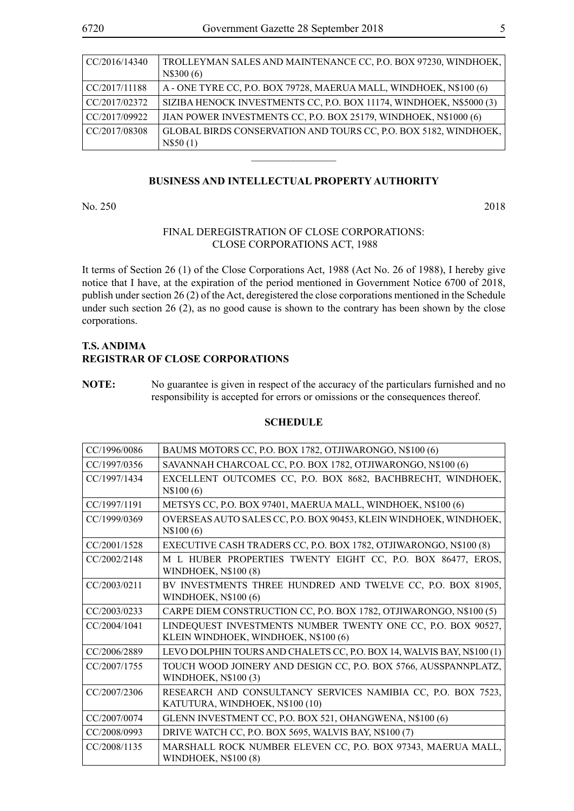| CC/2016/14340 | TROLLEYMAN SALES AND MAINTENANCE CC, P.O. BOX 97230, WINDHOEK,<br>N\$300 (6) |
|---------------|------------------------------------------------------------------------------|
| CC/2017/11188 | A - ONE TYRE CC, P.O. BOX 79728, MAERUA MALL, WINDHOEK, N\$100 (6)           |
| CC/2017/02372 | SIZIBA HENOCK INVESTMENTS CC, P.O. BOX 11174, WINDHOEK, N\$5000 (3)          |
| CC/2017/09922 | JIAN POWER INVESTMENTS CC, P.O. BOX 25179, WINDHOEK, N\$1000 (6)             |
| CC/2017/08308 | GLOBAL BIRDS CONSERVATION AND TOURS CC, P.O. BOX 5182, WINDHOEK,<br>N\$50(1) |
|               |                                                                              |

### **BUSINESS AND INTELLECTUAL PROPERTY AUTHORITY**

No. 250 2018

#### FINAL DEREGISTRATION OF CLOSE CORPORATIONS: CLOSE CORPORATIONS ACT, 1988

It terms of Section 26 (1) of the Close Corporations Act, 1988 (Act No. 26 of 1988), I hereby give notice that I have, at the expiration of the period mentioned in Government Notice 6700 of 2018, publish under section 26 (2) of the Act, deregistered the close corporations mentioned in the Schedule under such section 26 (2), as no good cause is shown to the contrary has been shown by the close corporations.

# **T.S. ANDIMA REGISTRAR OF CLOSE CORPORATIONS**

#### **SCHEDULE**

| CC/1996/0086 | BAUMS MOTORS CC, P.O. BOX 1782, OTJIWARONGO, N\$100 (6)                                              |
|--------------|------------------------------------------------------------------------------------------------------|
| CC/1997/0356 | SAVANNAH CHARCOAL CC, P.O. BOX 1782, OTJIWARONGO, N\$100 (6)                                         |
| CC/1997/1434 | EXCELLENT OUTCOMES CC, P.O. BOX 8682, BACHBRECHT, WINDHOEK,<br>N\\$100(6)                            |
| CC/1997/1191 | METSYS CC, P.O. BOX 97401, MAERUA MALL, WINDHOEK, N\$100 (6)                                         |
| CC/1999/0369 | OVERSEAS AUTO SALES CC, P.O. BOX 90453, KLEIN WINDHOEK, WINDHOEK,<br>N\\$100(6)                      |
| CC/2001/1528 | EXECUTIVE CASH TRADERS CC, P.O. BOX 1782, OTJIWARONGO, N\$100 (8)                                    |
| CC/2002/2148 | M L HUBER PROPERTIES TWENTY EIGHT CC, P.O. BOX 86477, EROS,<br><b>WINDHOEK, N\$100 (8)</b>           |
| CC/2003/0211 | BV INVESTMENTS THREE HUNDRED AND TWELVE CC, P.O. BOX 81905,<br>WINDHOEK, $N$100(6)$                  |
| CC/2003/0233 | CARPE DIEM CONSTRUCTION CC, P.O. BOX 1782, OTJIWARONGO, N\$100 (5)                                   |
| CC/2004/1041 | LINDEQUEST INVESTMENTS NUMBER TWENTY ONE CC, P.O. BOX 90527,<br>KLEIN WINDHOEK, WINDHOEK, N\$100 (6) |
| CC/2006/2889 | LEVO DOLPHIN TOURS AND CHALETS CC, P.O. BOX 14, WALVIS BAY, N\$100 (1)                               |
| CC/2007/1755 | TOUCH WOOD JOINERY AND DESIGN CC, P.O. BOX 5766, AUSSPANNPLATZ,<br><b>WINDHOEK, N\$100(3)</b>        |
| CC/2007/2306 | RESEARCH AND CONSULTANCY SERVICES NAMIBIA CC, P.O. BOX 7523,<br>KATUTURA, WINDHOEK, N\$100 (10)      |
| CC/2007/0074 | GLENN INVESTMENT CC, P.O. BOX 521, OHANGWENA, N\$100 (6)                                             |
| CC/2008/0993 | DRIVE WATCH CC, P.O. BOX 5695, WALVIS BAY, N\$100 (7)                                                |
| CC/2008/1135 | MARSHALL ROCK NUMBER ELEVEN CC, P.O. BOX 97343, MAERUA MALL,<br><b>WINDHOEK, N\$100 (8)</b>          |

**NOTE:** No guarantee is given in respect of the accuracy of the particulars furnished and no responsibility is accepted for errors or omissions or the consequences thereof.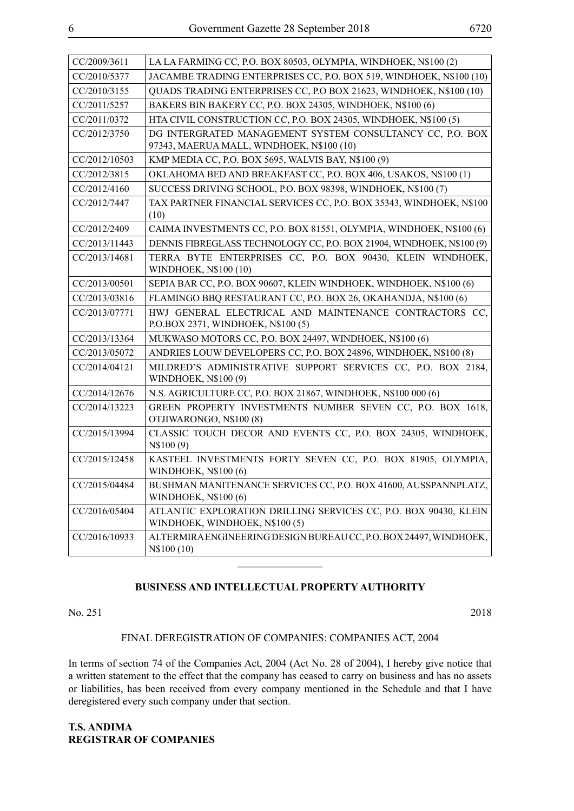| CC/2009/3611  | LA LA FARMING CC, P.O. BOX 80503, OLYMPIA, WINDHOEK, N\$100 (2)                                    |
|---------------|----------------------------------------------------------------------------------------------------|
| CC/2010/5377  | JACAMBE TRADING ENTERPRISES CC, P.O. BOX 519, WINDHOEK, N\$100 (10)                                |
| CC/2010/3155  | QUADS TRADING ENTERPRISES CC, P.O BOX 21623, WINDHOEK, N\$100 (10)                                 |
| CC/2011/5257  | BAKERS BIN BAKERY CC, P.O. BOX 24305, WINDHOEK, N\$100 (6)                                         |
| CC/2011/0372  | HTA CIVIL CONSTRUCTION CC, P.O. BOX 24305, WINDHOEK, N\$100 (5)                                    |
| CC/2012/3750  | DG INTERGRATED MANAGEMENT SYSTEM CONSULTANCY CC, P.O. BOX                                          |
|               | 97343, MAERUA MALL, WINDHOEK, N\$100 (10)                                                          |
| CC/2012/10503 | KMP MEDIA CC, P.O. BOX 5695, WALVIS BAY, N\$100 (9)                                                |
| CC/2012/3815  | OKLAHOMA BED AND BREAKFAST CC, P.O. BOX 406, USAKOS, N\$100 (1)                                    |
| CC/2012/4160  | SUCCESS DRIVING SCHOOL, P.O. BOX 98398, WINDHOEK, N\$100 (7)                                       |
| CC/2012/7447  | TAX PARTNER FINANCIAL SERVICES CC, P.O. BOX 35343, WINDHOEK, N\$100<br>(10)                        |
| CC/2012/2409  | CAIMA INVESTMENTS CC, P.O. BOX 81551, OLYMPIA, WINDHOEK, N\$100 (6)                                |
| CC/2013/11443 | DENNIS FIBREGLASS TECHNOLOGY CC, P.O. BOX 21904, WINDHOEK, N\$100 (9)                              |
| CC/2013/14681 | TERRA BYTE ENTERPRISES CC, P.O. BOX 90430, KLEIN WINDHOEK,<br>WINDHOEK, N\$100 (10)                |
| CC/2013/00501 | SEPIA BAR CC, P.O. BOX 90607, KLEIN WINDHOEK, WINDHOEK, N\$100 (6)                                 |
| CC/2013/03816 | FLAMINGO BBQ RESTAURANT CC, P.O. BOX 26, OKAHANDJA, N\$100 (6)                                     |
| CC/2013/07771 | HWJ GENERAL ELECTRICAL AND MAINTENANCE CONTRACTORS CC,<br>P.O.BOX 2371, WINDHOEK, N\$100 (5)       |
| CC/2013/13364 | MUKWASO MOTORS CC, P.O. BOX 24497, WINDHOEK, N\$100 (6)                                            |
| CC/2013/05072 | ANDRIES LOUW DEVELOPERS CC, P.O. BOX 24896, WINDHOEK, N\$100 (8)                                   |
| CC/2014/04121 | MILDRED'S ADMINISTRATIVE SUPPORT SERVICES CC, P.O. BOX 2184,<br>WINDHOEK, N\$100 (9)               |
| CC/2014/12676 | N.S. AGRICULTURE CC, P.O. BOX 21867, WINDHOEK, N\$100 000 (6)                                      |
| CC/2014/13223 | GREEN PROPERTY INVESTMENTS NUMBER SEVEN CC, P.O. BOX 1618,<br>OTJIWARONGO, N\$100 (8)              |
| CC/2015/13994 | CLASSIC TOUCH DECOR AND EVENTS CC, P.O. BOX 24305, WINDHOEK,<br>N\\$100(9)                         |
| CC/2015/12458 | KASTEEL INVESTMENTS FORTY SEVEN CC, P.O. BOX 81905, OLYMPIA,<br>WINDHOEK, N\$100 (6)               |
| CC/2015/04484 | BUSHMAN MANITENANCE SERVICES CC, P.O. BOX 41600, AUSSPANNPLATZ,<br><b>WINDHOEK, N\$100 (6)</b>     |
| CC/2016/05404 | ATLANTIC EXPLORATION DRILLING SERVICES CC, P.O. BOX 90430, KLEIN<br>WINDHOEK, WINDHOEK, N\$100 (5) |
| CC/2016/10933 | ALTERMIRAENGINEERING DESIGN BUREAU CC, P.O. BOX 24497, WINDHOEK,<br>N\\$100 (10)                   |
|               |                                                                                                    |

#### **BUSINESS AND INTELLECTUAL PROPERTY AUTHORITY**

No. 251 2018

#### FINAL DEREGISTRATION OF COMPANIES: COMPANIES ACT, 2004

In terms of section 74 of the Companies Act, 2004 (Act No. 28 of 2004), I hereby give notice that a written statement to the effect that the company has ceased to carry on business and has no assets or liabilities, has been received from every company mentioned in the Schedule and that I have deregistered every such company under that section.

**T.S. ANDIMA REGISTRAR OF COMPANIES**